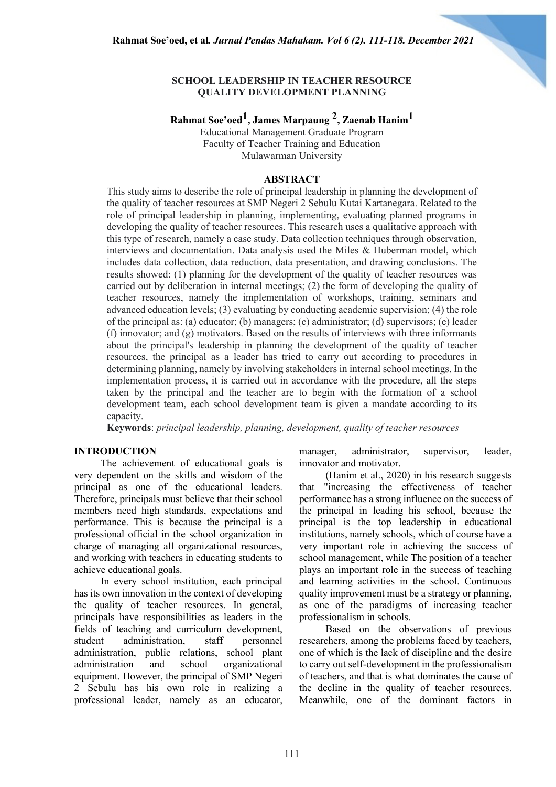### **SCHOOL LEADERSHIP IN TEACHER RESOURCE QUALITY DEVELOPMENT PLANNING**

**Rahmat Soe'oed1, James Marpaung 2, Zaenab Hanim1**

Educational Management Graduate Program Faculty of Teacher Training and Education Mulawarman University

#### **ABSTRACT**

This study aims to describe the role of principal leadership in planning the development of the quality of teacher resources at SMP Negeri 2 Sebulu Kutai Kartanegara. Related to the role of principal leadership in planning, implementing, evaluating planned programs in developing the quality of teacher resources. This research uses a qualitative approach with this type of research, namely a case study. Data collection techniques through observation, interviews and documentation. Data analysis used the Miles & Huberman model, which includes data collection, data reduction, data presentation, and drawing conclusions. The results showed: (1) planning for the development of the quality of teacher resources was carried out by deliberation in internal meetings; (2) the form of developing the quality of teacher resources, namely the implementation of workshops, training, seminars and advanced education levels; (3) evaluating by conducting academic supervision; (4) the role of the principal as: (a) educator; (b) managers; (c) administrator; (d) supervisors; (e) leader (f) innovator; and (g) motivators. Based on the results of interviews with three informants about the principal's leadership in planning the development of the quality of teacher resources, the principal as a leader has tried to carry out according to procedures in determining planning, namely by involving stakeholders in internal school meetings. In the implementation process, it is carried out in accordance with the procedure, all the steps taken by the principal and the teacher are to begin with the formation of a school development team, each school development team is given a mandate according to its capacity.

**Keywords**: *principal leadership, planning, development, quality of teacher resources*

### **INTRODUCTION**

The achievement of educational goals is very dependent on the skills and wisdom of the principal as one of the educational leaders. Therefore, principals must believe that their school members need high standards, expectations and performance. This is because the principal is a professional official in the school organization in charge of managing all organizational resources, and working with teachers in educating students to achieve educational goals.

In every school institution, each principal has its own innovation in the context of developing the quality of teacher resources. In general, principals have responsibilities as leaders in the fields of teaching and curriculum development, student administration, staff personnel administration, public relations, school plant administration and school organizational equipment. However, the principal of SMP Negeri 2 Sebulu has his own role in realizing a professional leader, namely as an educator,

manager, administrator, supervisor, leader, innovator and motivator.

(Hanim et al., 2020) in his research suggests that "increasing the effectiveness of teacher performance has a strong influence on the success of the principal in leading his school, because the principal is the top leadership in educational institutions, namely schools, which of course have a very important role in achieving the success of school management, while The position of a teacher plays an important role in the success of teaching and learning activities in the school. Continuous quality improvement must be a strategy or planning, as one of the paradigms of increasing teacher professionalism in schools.

Based on the observations of previous researchers, among the problems faced by teachers, one of which is the lack of discipline and the desire to carry out self-development in the professionalism of teachers, and that is what dominates the cause of the decline in the quality of teacher resources. Meanwhile, one of the dominant factors in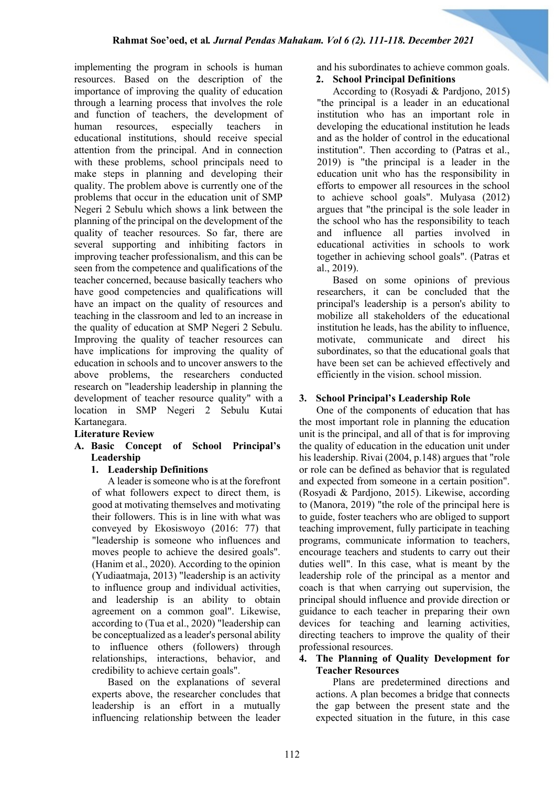implementing the program in schools is human resources. Based on the description of the importance of improving the quality of education through a learning process that involves the role and function of teachers, the development of human resources, especially teachers in educational institutions, should receive special attention from the principal. And in connection with these problems, school principals need to make steps in planning and developing their quality. The problem above is currently one of the problems that occur in the education unit of SMP Negeri 2 Sebulu which shows a link between the planning of the principal on the development of the quality of teacher resources. So far, there are several supporting and inhibiting factors in improving teacher professionalism, and this can be seen from the competence and qualifications of the teacher concerned, because basically teachers who have good competencies and qualifications will have an impact on the quality of resources and teaching in the classroom and led to an increase in the quality of education at SMP Negeri 2 Sebulu. Improving the quality of teacher resources can have implications for improving the quality of education in schools and to uncover answers to the above problems, the researchers conducted research on "leadership leadership in planning the development of teacher resource quality" with a location in SMP Negeri 2 Sebulu Kutai Kartanegara.

### **Literature Review**

### **A. Basic Concept of School Principal's Leadership**

# **1. Leadership Definitions**

A leader is someone who is at the forefront of what followers expect to direct them, is good at motivating themselves and motivating their followers. This is in line with what was conveyed by Ekosiswoyo (2016: 77) that "leadership is someone who influences and moves people to achieve the desired goals". (Hanim et al., 2020). According to the opinion (Yudiaatmaja, 2013) "leadership is an activity to influence group and individual activities, and leadership is an ability to obtain agreement on a common goal". Likewise, according to (Tua et al., 2020) "leadership can be conceptualized as a leader's personal ability to influence others (followers) through relationships, interactions, behavior, and credibility to achieve certain goals".

Based on the explanations of several experts above, the researcher concludes that leadership is an effort in a mutually influencing relationship between the leader

and his subordinates to achieve common goals.

# **2. School Principal Definitions**

According to (Rosyadi & Pardjono, 2015) "the principal is a leader in an educational institution who has an important role in developing the educational institution he leads and as the holder of control in the educational institution". Then according to (Patras et al., 2019) is "the principal is a leader in the education unit who has the responsibility in efforts to empower all resources in the school to achieve school goals". Mulyasa (2012) argues that "the principal is the sole leader in the school who has the responsibility to teach and influence all parties involved in educational activities in schools to work together in achieving school goals". (Patras et al., 2019).

Based on some opinions of previous researchers, it can be concluded that the principal's leadership is a person's ability to mobilize all stakeholders of the educational institution he leads, has the ability to influence, motivate, communicate and direct his subordinates, so that the educational goals that have been set can be achieved effectively and efficiently in the vision. school mission.

# **3. School Principal's Leadership Role**

One of the components of education that has the most important role in planning the education unit is the principal, and all of that is for improving the quality of education in the education unit under his leadership. Rivai (2004, p.148) argues that "role or role can be defined as behavior that is regulated and expected from someone in a certain position". (Rosyadi & Pardjono, 2015). Likewise, according to (Manora, 2019) "the role of the principal here is to guide, foster teachers who are obliged to support teaching improvement, fully participate in teaching programs, communicate information to teachers, encourage teachers and students to carry out their duties well". In this case, what is meant by the leadership role of the principal as a mentor and coach is that when carrying out supervision, the principal should influence and provide direction or guidance to each teacher in preparing their own devices for teaching and learning activities, directing teachers to improve the quality of their professional resources.

#### **4. The Planning of Quality Development for Teacher Resources**

Plans are predetermined directions and actions. A plan becomes a bridge that connects the gap between the present state and the expected situation in the future, in this case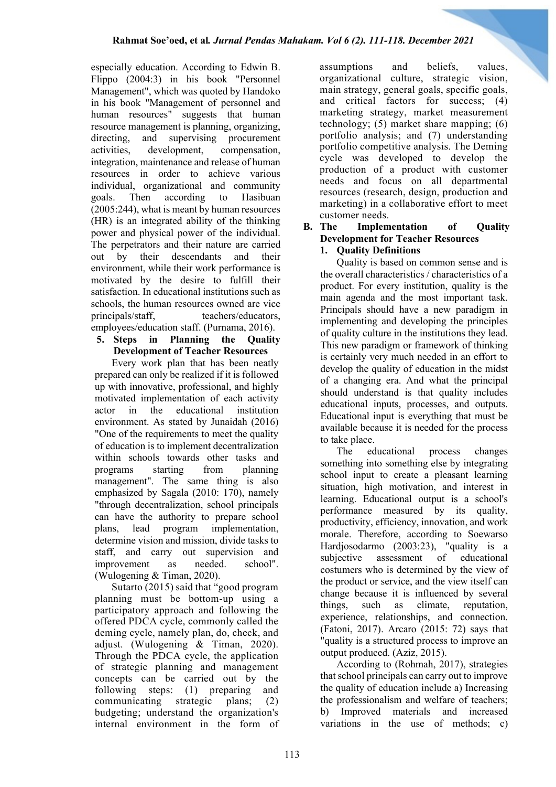especially education. According to Edwin B. Flippo (2004:3) in his book "Personnel Management", which was quoted by Handoko in his book "Management of personnel and human resources" suggests that human resource management is planning, organizing, directing, and supervising procurement activities, development, compensation, integration, maintenance and release of human resources in order to achieve various individual, organizational and community goals. Then according to Hasibuan (2005:244), what is meant by human resources (HR) is an integrated ability of the thinking power and physical power of the individual. The perpetrators and their nature are carried out by their descendants and their environment, while their work performance is motivated by the desire to fulfill their satisfaction. In educational institutions such as schools, the human resources owned are vice principals/staff, teachers/educators, employees/education staff. (Purnama, 2016).

### **5. Steps in Planning the Quality Development of Teacher Resources**

Every work plan that has been neatly prepared can only be realized if it is followed up with innovative, professional, and highly motivated implementation of each activity actor in the educational institution environment. As stated by Junaidah (2016) "One of the requirements to meet the quality of education is to implement decentralization within schools towards other tasks and programs starting from planning management". The same thing is also emphasized by Sagala (2010: 170), namely "through decentralization, school principals can have the authority to prepare school plans, lead program implementation, determine vision and mission, divide tasks to staff, and carry out supervision and improvement as needed. school". (Wulogening & Timan, 2020).

Sutarto (2015) said that "good program planning must be bottom-up using a participatory approach and following the offered PDCA cycle, commonly called the deming cycle, namely plan, do, check, and adjust. (Wulogening & Timan, 2020). Through the PDCA cycle, the application of strategic planning and management concepts can be carried out by the following steps: (1) preparing and communicating strategic plans; (2) budgeting; understand the organization's internal environment in the form of

assumptions and beliefs, values, organizational culture, strategic vision, main strategy, general goals, specific goals, and critical factors for success; (4) marketing strategy, market measurement technology; (5) market share mapping; (6) portfolio analysis; and (7) understanding portfolio competitive analysis. The Deming cycle was developed to develop the production of a product with customer needs and focus on all departmental resources (research, design, production and marketing) in a collaborative effort to meet

### customer needs.<br>R. The Implem **Implementation** of **Quality Development for Teacher Resources**

# **1. Quality Definitions**

Quality is based on common sense and is the overall characteristics / characteristics of a product. For every institution, quality is the main agenda and the most important task. Principals should have a new paradigm in implementing and developing the principles of quality culture in the institutions they lead. This new paradigm or framework of thinking is certainly very much needed in an effort to develop the quality of education in the midst of a changing era. And what the principal should understand is that quality includes educational inputs, processes, and outputs. Educational input is everything that must be available because it is needed for the process to take place.

The educational process changes something into something else by integrating school input to create a pleasant learning situation, high motivation, and interest in learning. Educational output is a school's performance measured by its quality, productivity, efficiency, innovation, and work morale. Therefore, according to Soewarso Hardjosodarmo (2003:23), "quality is a subjective assessment of educational costumers who is determined by the view of the product or service, and the view itself can change because it is influenced by several things, such as climate, reputation, experience, relationships, and connection. (Fatoni, 2017). Arcaro (2015: 72) says that "quality is a structured process to improve an output produced. (Aziz, 2015).

According to (Rohmah, 2017), strategies that school principals can carry out to improve the quality of education include a) Increasing the professionalism and welfare of teachers; b) Improved materials and increased variations in the use of methods; c)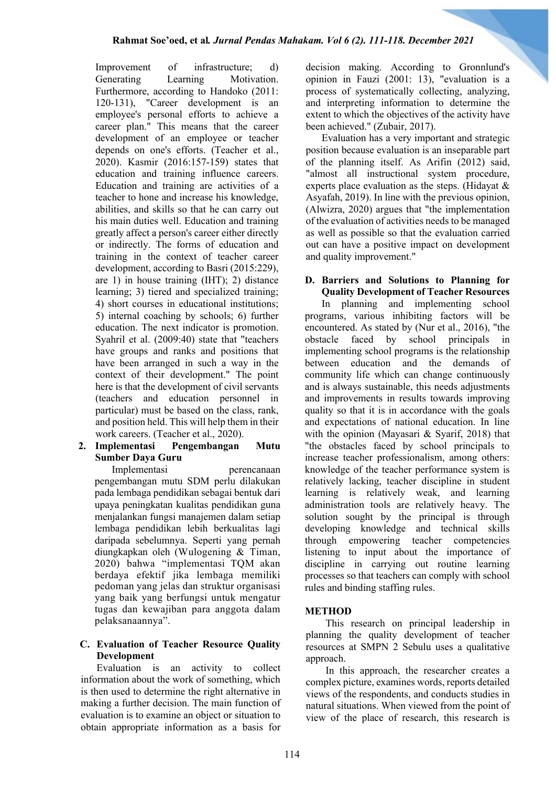Improvement of infrastructure; d) Generating Learning Motivation. Furthermore, according to Handoko (2011: 120-131), "Career development is an employee's personal efforts to achieve a career plan." This means that the career development of an employee or teacher depends on one's efforts. (Teacher et al., 2020). Kasmir (2016:157-159) states that education and training influence careers. Education and training are activities of a teacher to hone and increase his knowledge, abilities, and skills so that he can carry out his main duties well. Education and training greatly affect a person's career either directly or indirectly. The forms of education and training in the context of teacher career development, according to Basri (2015:229), are 1) in house training (IHT); 2) distance learning; 3) tiered and specialized training; 4) short courses in educational institutions; 5) internal coaching by schools; 6) further education. The next indicator is promotion. Syahril et al. (2009:40) state that "teachers have groups and ranks and positions that have been arranged in such a way in the context of their development." The point here is that the development of civil servants (teachers and education personnel in particular) must be based on the class, rank, and position held. This will help them in their work careers. (Teacher et al., 2020).

### **2. Implementasi Pengembangan Mutu Sumber Daya Guru**

Implementasi perencanaan pengembangan mutu SDM perlu dilakukan pada lembaga pendidikan sebagai bentuk dari upaya peningkatan kualitas pendidikan guna menjalankan fungsi manajemen dalam setiap lembaga pendidikan lebih berkualitas lagi daripada sebelumnya. Seperti yang pernah diungkapkan oleh (Wulogening & Timan, 2020) bahwa "implementasi TQM akan berdaya efektif jika lembaga memiliki pedoman yang jelas dan struktur organisasi yang baik yang berfungsi untuk mengatur tugas dan kewajiban para anggota dalam pelaksanaannya".

# **C. Evaluation of Teacher Resource Quality Development**

Evaluation is an activity to collect information about the work of something, which is then used to determine the right alternative in making a further decision. The main function of evaluation is to examine an object or situation to obtain appropriate information as a basis for

decision making. According to Gronnlund's opinion in Fauzi (2001: 13), "evaluation is a process of systematically collecting, analyzing, and interpreting information to determine the extent to which the objectives of the activity have been achieved." (Zubair, 2017).

Evaluation has a very important and strategic position because evaluation is an inseparable part of the planning itself. As Arifin (2012) said, "almost all instructional system procedure, experts place evaluation as the steps. (Hidayat & Asyafah, 2019). In line with the previous opinion, (Alwizra, 2020) argues that "the implementation of the evaluation of activities needs to be managed as well as possible so that the evaluation carried out can have a positive impact on development and quality improvement."

#### **D. Barriers and Solutions to Planning for Quality Development of Teacher Resources**

In planning and implementing school programs, various inhibiting factors will be encountered. As stated by (Nur et al., 2016), "the obstacle faced by school principals in implementing school programs is the relationship between education and the demands of community life which can change continuously and is always sustainable, this needs adjustments and improvements in results towards improving quality so that it is in accordance with the goals and expectations of national education. In line with the opinion (Mayasari & Syarif, 2018) that "the obstacles faced by school principals to increase teacher professionalism, among others: knowledge of the teacher performance system is relatively lacking, teacher discipline in student learning is relatively weak, and learning administration tools are relatively heavy. The solution sought by the principal is through developing knowledge and technical skills through empowering teacher competencies listening to input about the importance of discipline in carrying out routine learning processes so that teachers can comply with school rules and binding staffing rules.

# **METHOD**

This research on principal leadership in planning the quality development of teacher resources at SMPN 2 Sebulu uses a qualitative approach.

In this approach, the researcher creates a complex picture, examines words, reports detailed views of the respondents, and conducts studies in natural situations. When viewed from the point of view of the place of research, this research is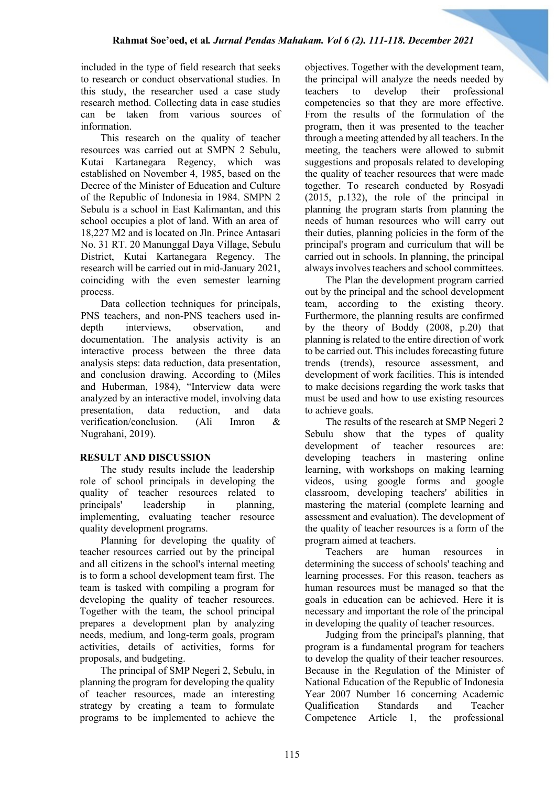included in the type of field research that seeks to research or conduct observational studies. In this study, the researcher used a case study research method. Collecting data in case studies can be taken from various sources of information.

This research on the quality of teacher resources was carried out at SMPN 2 Sebulu, Kutai Kartanegara Regency, which was established on November 4, 1985, based on the Decree of the Minister of Education and Culture of the Republic of Indonesia in 1984. SMPN 2 Sebulu is a school in East Kalimantan, and this school occupies a plot of land. With an area of 18,227 M2 and is located on Jln. Prince Antasari No. 31 RT. 20 Manunggal Daya Village, Sebulu District, Kutai Kartanegara Regency. The research will be carried out in mid-January 2021, coinciding with the even semester learning process.

Data collection techniques for principals, PNS teachers, and non-PNS teachers used indepth interviews, observation, and documentation. The analysis activity is an interactive process between the three data analysis steps: data reduction, data presentation, and conclusion drawing. According to (Miles and Huberman, 1984), "Interview data were analyzed by an interactive model, involving data presentation, data reduction, and data verification/conclusion. (Ali Imron & Nugrahani, 2019).

# **RESULT AND DISCUSSION**

The study results include the leadership role of school principals in developing the quality of teacher resources related to principals' leadership in planning, implementing, evaluating teacher resource quality development programs.

Planning for developing the quality of teacher resources carried out by the principal and all citizens in the school's internal meeting is to form a school development team first. The team is tasked with compiling a program for developing the quality of teacher resources. Together with the team, the school principal prepares a development plan by analyzing needs, medium, and long-term goals, program activities, details of activities, forms for proposals, and budgeting.

The principal of SMP Negeri 2, Sebulu, in planning the program for developing the quality of teacher resources, made an interesting strategy by creating a team to formulate programs to be implemented to achieve the objectives. Together with the development team, the principal will analyze the needs needed by teachers to develop their professional competencies so that they are more effective. From the results of the formulation of the program, then it was presented to the teacher through a meeting attended by all teachers. In the meeting, the teachers were allowed to submit suggestions and proposals related to developing the quality of teacher resources that were made together. To research conducted by Rosyadi (2015, p.132), the role of the principal in planning the program starts from planning the needs of human resources who will carry out their duties, planning policies in the form of the principal's program and curriculum that will be carried out in schools. In planning, the principal always involves teachers and school committees.

The Plan the development program carried out by the principal and the school development team, according to the existing theory. Furthermore, the planning results are confirmed by the theory of Boddy (2008, p.20) that planning is related to the entire direction of work to be carried out. This includes forecasting future trends (trends), resource assessment, and development of work facilities. This is intended to make decisions regarding the work tasks that must be used and how to use existing resources to achieve goals.

The results of the research at SMP Negeri 2 Sebulu show that the types of quality development of teacher resources are: developing teachers in mastering online learning, with workshops on making learning videos, using google forms and google classroom, developing teachers' abilities in mastering the material (complete learning and assessment and evaluation). The development of the quality of teacher resources is a form of the program aimed at teachers.

Teachers are human resources in determining the success of schools' teaching and learning processes. For this reason, teachers as human resources must be managed so that the goals in education can be achieved. Here it is necessary and important the role of the principal in developing the quality of teacher resources.

Judging from the principal's planning, that program is a fundamental program for teachers to develop the quality of their teacher resources. Because in the Regulation of the Minister of National Education of the Republic of Indonesia Year 2007 Number 16 concerning Academic Qualification Standards and Teacher Competence Article 1, the professional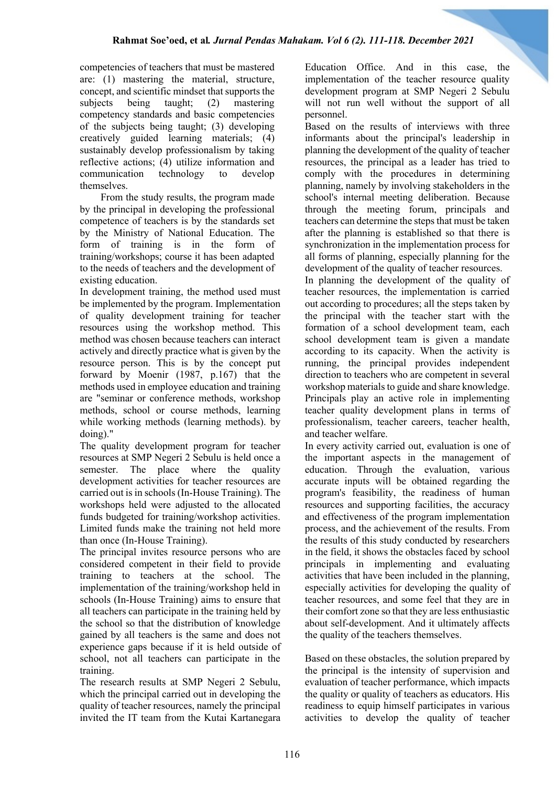competencies of teachers that must be mastered are: (1) mastering the material, structure, concept, and scientific mindset that supports the subjects being taught; (2) mastering competency standards and basic competencies of the subjects being taught; (3) developing creatively guided learning materials; (4) sustainably develop professionalism by taking reflective actions; (4) utilize information and communication technology to develop themselves.

From the study results, the program made by the principal in developing the professional competence of teachers is by the standards set by the Ministry of National Education. The form of training is in the form of training/workshops; course it has been adapted to the needs of teachers and the development of existing education.

In development training, the method used must be implemented by the program. Implementation of quality development training for teacher resources using the workshop method. This method was chosen because teachers can interact actively and directly practice what is given by the resource person. This is by the concept put forward by Moenir (1987, p.167) that the methods used in employee education and training are "seminar or conference methods, workshop methods, school or course methods, learning while working methods (learning methods). by doing)."

The quality development program for teacher resources at SMP Negeri 2 Sebulu is held once a semester. The place where the quality development activities for teacher resources are carried out is in schools (In-House Training). The workshops held were adjusted to the allocated funds budgeted for training/workshop activities. Limited funds make the training not held more than once (In-House Training).

The principal invites resource persons who are considered competent in their field to provide training to teachers at the school. The implementation of the training/workshop held in schools (In-House Training) aims to ensure that all teachers can participate in the training held by the school so that the distribution of knowledge gained by all teachers is the same and does not experience gaps because if it is held outside of school, not all teachers can participate in the training.

The research results at SMP Negeri 2 Sebulu, which the principal carried out in developing the quality of teacher resources, namely the principal invited the IT team from the Kutai Kartanegara Education Office. And in this case, the implementation of the teacher resource quality development program at SMP Negeri 2 Sebulu will not run well without the support of all personnel.

Based on the results of interviews with three informants about the principal's leadership in planning the development of the quality of teacher resources, the principal as a leader has tried to comply with the procedures in determining planning, namely by involving stakeholders in the school's internal meeting deliberation. Because through the meeting forum, principals and teachers can determine the steps that must be taken after the planning is established so that there is synchronization in the implementation process for all forms of planning, especially planning for the development of the quality of teacher resources.

In planning the development of the quality of teacher resources, the implementation is carried out according to procedures; all the steps taken by the principal with the teacher start with the formation of a school development team, each school development team is given a mandate according to its capacity. When the activity is running, the principal provides independent direction to teachers who are competent in several workshop materials to guide and share knowledge. Principals play an active role in implementing teacher quality development plans in terms of professionalism, teacher careers, teacher health, and teacher welfare.

In every activity carried out, evaluation is one of the important aspects in the management of education. Through the evaluation, various accurate inputs will be obtained regarding the program's feasibility, the readiness of human resources and supporting facilities, the accuracy and effectiveness of the program implementation process, and the achievement of the results. From the results of this study conducted by researchers in the field, it shows the obstacles faced by school principals in implementing and evaluating activities that have been included in the planning, especially activities for developing the quality of teacher resources, and some feel that they are in their comfort zone so that they are less enthusiastic about self-development. And it ultimately affects the quality of the teachers themselves.

Based on these obstacles, the solution prepared by the principal is the intensity of supervision and evaluation of teacher performance, which impacts the quality or quality of teachers as educators. His readiness to equip himself participates in various activities to develop the quality of teacher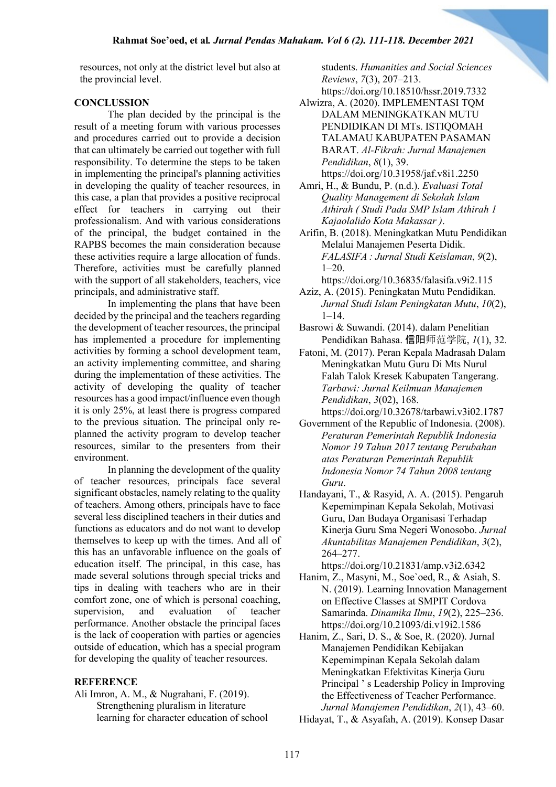resources, not only at the district level but also at the provincial level.

### **CONCLUSSION**

The plan decided by the principal is the result of a meeting forum with various processes and procedures carried out to provide a decision that can ultimately be carried out together with full responsibility. To determine the steps to be taken in implementing the principal's planning activities in developing the quality of teacher resources, in this case, a plan that provides a positive reciprocal effect for teachers in carrying out their professionalism. And with various considerations of the principal, the budget contained in the RAPBS becomes the main consideration because these activities require a large allocation of funds. Therefore, activities must be carefully planned with the support of all stakeholders, teachers, vice principals, and administrative staff.

In implementing the plans that have been decided by the principal and the teachers regarding the development of teacher resources, the principal has implemented a procedure for implementing activities by forming a school development team, an activity implementing committee, and sharing during the implementation of these activities. The activity of developing the quality of teacher resources has a good impact/influence even though it is only 25%, at least there is progress compared to the previous situation. The principal only replanned the activity program to develop teacher resources, similar to the presenters from their environment.

In planning the development of the quality of teacher resources, principals face several significant obstacles, namely relating to the quality of teachers. Among others, principals have to face several less disciplined teachers in their duties and functions as educators and do not want to develop themselves to keep up with the times. And all of this has an unfavorable influence on the goals of education itself. The principal, in this case, has made several solutions through special tricks and tips in dealing with teachers who are in their comfort zone, one of which is personal coaching, supervision, and evaluation of teacher performance. Another obstacle the principal faces is the lack of cooperation with parties or agencies outside of education, which has a special program for developing the quality of teacher resources.

# **REFERENCE**

Ali Imron, A. M., & Nugrahani, F. (2019). Strengthening pluralism in literature learning for character education of school students. *Humanities and Social Sciences Reviews*, *7*(3), 207–213.

- https://doi.org/10.18510/hssr.2019.7332 Alwizra, A. (2020). IMPLEMENTASI TQM DALAM MENINGKATKAN MUTU PENDIDIKAN DI MTs. ISTIQOMAH TALAMAU KABUPATEN PASAMAN BARAT. *Al-Fikrah: Jurnal Manajemen Pendidikan*, *8*(1), 39. https://doi.org/10.31958/jaf.v8i1.2250
- Amri, H., & Bundu, P. (n.d.). *Evaluasi Total Quality Management di Sekolah Islam Athirah ( Studi Pada SMP Islam Athirah 1 Kajaolalido Kota Makassar )*.
- Arifin, B. (2018). Meningkatkan Mutu Pendidikan Melalui Manajemen Peserta Didik. *FALASIFA : Jurnal Studi Keislaman*, *9*(2),  $1-20.$
- https://doi.org/10.36835/falasifa.v9i2.115
- Aziz, A. (2015). Peningkatan Mutu Pendidikan. *Jurnal Studi Islam Peningkatan Mutu*, *10*(2),  $1 - 14$ .
- Basrowi & Suwandi. (2014). dalam Penelitian Pendidikan Bahasa. 信阳师范学院, *1*(1), 32.
- Fatoni, M. (2017). Peran Kepala Madrasah Dalam Meningkatkan Mutu Guru Di Mts Nurul Falah Talok Kresek Kabupaten Tangerang. *Tarbawi: Jurnal Keilmuan Manajemen Pendidikan*, *3*(02), 168. https://doi.org/10.32678/tarbawi.v3i02.1787
- Government of the Republic of Indonesia. (2008). *Peraturan Pemerintah Republik Indonesia*
- *Nomor 19 Tahun 2017 tentang Perubahan atas Peraturan Pemerintah Republik Indonesia Nomor 74 Tahun 2008 tentang Guru*.
- Handayani, T., & Rasyid, A. A. (2015). Pengaruh Kepemimpinan Kepala Sekolah, Motivasi Guru, Dan Budaya Organisasi Terhadap Kinerja Guru Sma Negeri Wonosobo. *Jurnal Akuntabilitas Manajemen Pendidikan*, *3*(2), 264–277.

https://doi.org/10.21831/amp.v3i2.6342

- Hanim, Z., Masyni, M., Soe`oed, R., & Asiah, S. N. (2019). Learning Innovation Management on Effective Classes at SMPIT Cordova Samarinda. *Dinamika Ilmu*, *19*(2), 225–236. https://doi.org/10.21093/di.v19i2.1586
- Hanim, Z., Sari, D. S., & Soe, R. (2020). Jurnal Manajemen Pendidikan Kebijakan Kepemimpinan Kepala Sekolah dalam Meningkatkan Efektivitas Kinerja Guru Principal ' s Leadership Policy in Improving the Effectiveness of Teacher Performance. *Jurnal Manajemen Pendidikan*, *2*(1), 43–60.
- Hidayat, T., & Asyafah, A. (2019). Konsep Dasar